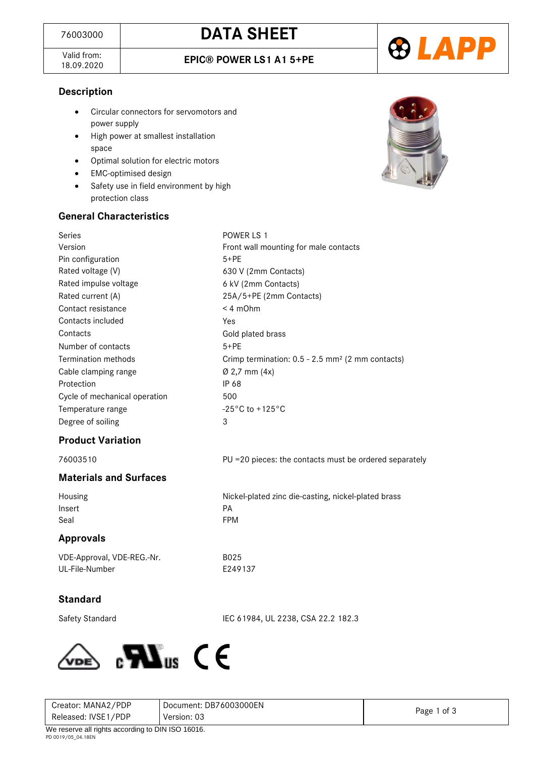Valid from:<br>18.09.2020

18.09.2020 **EPIC® POWER LS1 A1 5+PE**



#### **Description**

- Circular connectors for servomotors and power supply
- High power at smallest installation space
- Optimal solution for electric motors
- EMC-optimised design
- Safety use in field environment by high protection class

# **General Characteristics**

| Series                        | POWER LS 1                                                   |
|-------------------------------|--------------------------------------------------------------|
| Version                       | Front wall mounting for male contacts                        |
| Pin configuration             | $5+PE$                                                       |
| Rated voltage (V)             | 630 V (2mm Contacts)                                         |
| Rated impulse voltage         | 6 kV (2mm Contacts)                                          |
| Rated current (A)             | 25A/5+PE (2mm Contacts)                                      |
| Contact resistance            | $< 4$ mOhm                                                   |
| Contacts included             | Yes                                                          |
| Contacts                      | Gold plated brass                                            |
| Number of contacts            | $5+PE$                                                       |
| <b>Termination methods</b>    | Crimp termination: 0.5 - 2.5 mm <sup>2</sup> (2 mm contacts) |
| Cable clamping range          | $Ø$ 2,7 mm $(4x)$                                            |
| Protection                    | IP 68                                                        |
| Cycle of mechanical operation | 500                                                          |
| Temperature range             | $-25^{\circ}$ C to +125 $^{\circ}$ C                         |
| Degree of soiling             | 3                                                            |
| <b>Product Variation</b>      |                                                              |
| 76003510                      | PU = 20 pieces: the contacts must be ordered separately      |
| <b>Materials and Surfaces</b> |                                                              |
| Housing                       | Nickel-plated zinc die-casting, nickel-plated brass          |
| Insert                        | PA                                                           |
| Seal                          | <b>FPM</b>                                                   |
| <b>Approvals</b>              |                                                              |
| VDE-Approval, VDE-REG.-Nr.    | B025                                                         |
| UL-File-Number                | E249137                                                      |
|                               |                                                              |
| <b>Standard</b>               |                                                              |

Safety Standard IEC 61984, UL 2238, CSA 22.2 182.3



| Creator: MANA2/PDP                                  | Document: DB76003000EN | Page 1 of 3 |
|-----------------------------------------------------|------------------------|-------------|
| Released: IVSE1/PDP                                 | Version: 03            |             |
| $M_0$ reserve all rights according to DIN ISO 16016 |                        |             |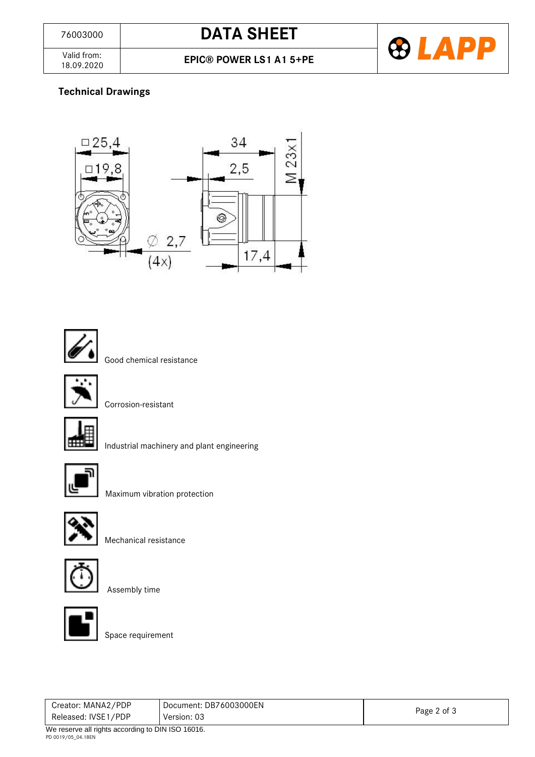

Valid from:<br>18.09.2020

### **Technical Drawings**





Good chemical resistance



Corrosion-resistant



Industrial machinery and plant engineering



Maximum vibration protection



Mechanical resistance



Assembly time



Space requirement

| Creator: MANA2/PDP                                              | Document: DB76003000EN |             |  |
|-----------------------------------------------------------------|------------------------|-------------|--|
| Released: IVSE1/PDP                                             | Version: 03            | Page 2 of 3 |  |
| $M_{\rm g}$ are reason all sinkin a recording to DIM ICO 40040. |                        |             |  |